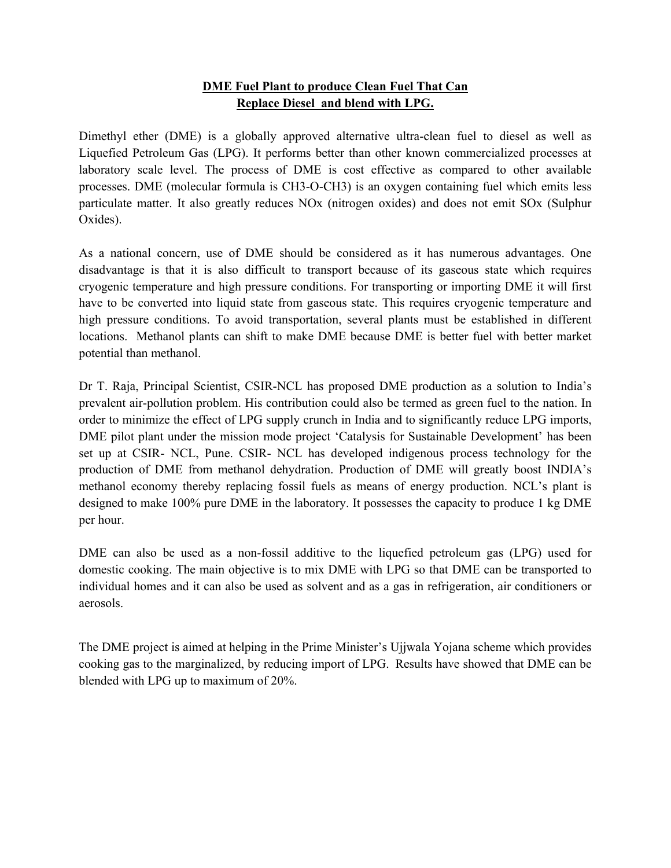## **DME Fuel Plant to produce Clean Fuel That Can Replace Diesel and blend with LPG.**

Dimethyl ether (DME) is a globally approved alternative ultra-clean fuel to diesel as well as Liquefied Petroleum Gas (LPG). It performs better than other known commercialized processes at laboratory scale level. The process of DME is cost effective as compared to other available processes. DME (molecular formula is CH3-O-CH3) is an oxygen containing fuel which emits less particulate matter. It also greatly reduces NOx (nitrogen oxides) and does not emit SOx (Sulphur Oxides).

As a national concern, use of DME should be considered as it has numerous advantages. One disadvantage is that it is also difficult to transport because of its gaseous state which requires cryogenic temperature and high pressure conditions. For transporting or importing DME it will first have to be converted into liquid state from gaseous state. This requires cryogenic temperature and high pressure conditions. To avoid transportation, several plants must be established in different locations. Methanol plants can shift to make DME because DME is better fuel with better market potential than methanol.

Dr T. Raja, Principal Scientist, CSIR-NCL has proposed DME production as a solution to India's prevalent air-pollution problem. His contribution could also be termed as green fuel to the nation. In order to minimize the effect of LPG supply crunch in India and to significantly reduce LPG imports, DME pilot plant under the mission mode project 'Catalysis for Sustainable Development' has been set up at CSIR- NCL, Pune. CSIR- NCL has developed indigenous process technology for the production of DME from methanol dehydration. Production of DME will greatly boost INDIA's methanol economy thereby replacing fossil fuels as means of energy production. NCL's plant is designed to make 100% pure DME in the laboratory. It possesses the capacity to produce 1 kg DME per hour.

DME can also be used as a non-fossil additive to the liquefied petroleum gas (LPG) used for domestic cooking. The main objective is to mix DME with LPG so that DME can be transported to individual homes and it can also be used as solvent and as a gas in refrigeration, air conditioners or aerosols.

The DME project is aimed at helping in the Prime Minister's Ujjwala Yojana scheme which provides cooking gas to the marginalized, by reducing import of LPG. Results have showed that DME can be blended with LPG up to maximum of 20%.